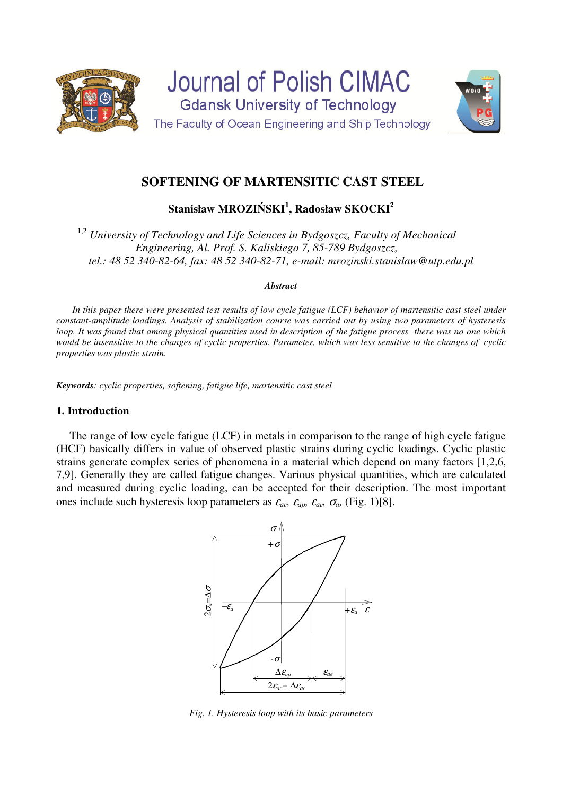



**Stanisław MROZIŃSKI<sup>1</sup> , Radosław SKOCKI<sup>2</sup>**

1,2 *University of Technology and Life Sciences in Bydgoszcz, Faculty of Mechanical Engineering, Al. Prof. S. Kaliskiego 7, 85-789 Bydgoszcz, tel.: 48 52 340-82-64, fax: 48 52 340-82-71, e-mail: mrozinski.stanislaw@utp.edu.pl* 

#### *Abstract*

*In this paper there were presented test results of low cycle fatigue (LCF) behavior of martensitic cast steel under constant-amplitude loadings. Analysis of stabilization course was carried out by using two parameters of hysteresis loop. It was found that among physical quantities used in description of the fatigue process there was no one which would be insensitive to the changes of cyclic properties. Parameter, which was less sensitive to the changes of cyclic properties was plastic strain.* 

*Keywords: cyclic properties, softening, fatigue life, martensitic cast steel* 

## **1. Introduction**

The range of low cycle fatigue (LCF) in metals in comparison to the range of high cycle fatigue (HCF) basically differs in value of observed plastic strains during cyclic loadings. Cyclic plastic strains generate complex series of phenomena in a material which depend on many factors [1,2,6, 7,9]. Generally they are called fatigue changes. Various physical quantities, which are calculated and measured during cyclic loading, can be accepted for their description. The most important ones include such hysteresis loop parameters as  $\varepsilon_{ac}$ ,  $\varepsilon_{ac}$ ,  $\varepsilon_{ac}$ ,  $\sigma_{ac}$ , (Fig. 1)[8].



*Fig. 1. Hysteresis loop with its basic parameters*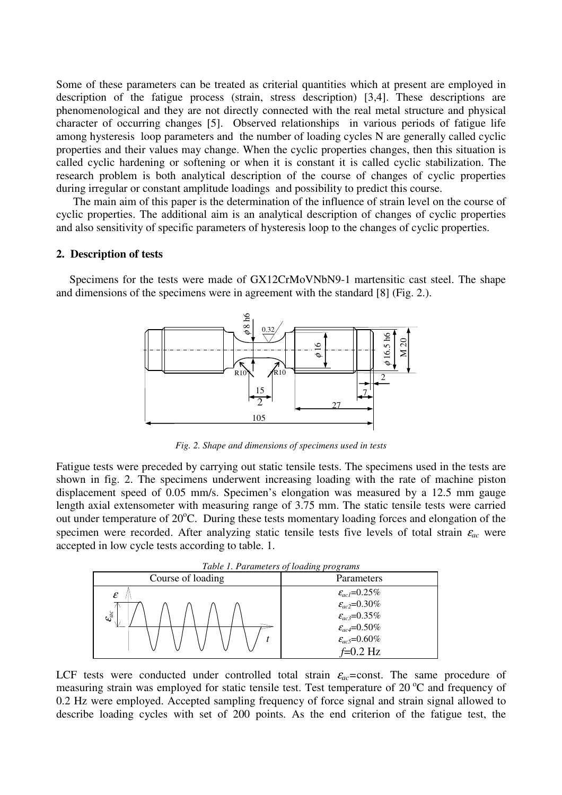Some of these parameters can be treated as criterial quantities which at present are employed in description of the fatigue process (strain, stress description) [3,4]. These descriptions are phenomenological and they are not directly connected with the real metal structure and physical character of occurring changes [5]. Observed relationships in various periods of fatigue life among hysteresis loop parameters and the number of loading cycles N are generally called cyclic properties and their values may change. When the cyclic properties changes, then this situation is called cyclic hardening or softening or when it is constant it is called cyclic stabilization. The research problem is both analytical description of the course of changes of cyclic properties during irregular or constant amplitude loadings and possibility to predict this course.

 The main aim of this paper is the determination of the influence of strain level on the course of cyclic properties. The additional aim is an analytical description of changes of cyclic properties and also sensitivity of specific parameters of hysteresis loop to the changes of cyclic properties.

#### **2. Description of tests**

Specimens for the tests were made of GX12CrMoVNbN9-1 martensitic cast steel. The shape and dimensions of the specimens were in agreement with the standard [8] (Fig. 2.).



*Fig. 2. Shape and dimensions of specimens used in tests* 

Fatigue tests were preceded by carrying out static tensile tests. The specimens used in the tests are shown in fig. 2. The specimens underwent increasing loading with the rate of machine piston displacement speed of 0.05 mm/s. Specimen's elongation was measured by a 12.5 mm gauge length axial extensometer with measuring range of 3.75 mm. The static tensile tests were carried out under temperature of 20°C. During these tests momentary loading forces and elongation of the specimen were recorded. After analyzing static tensile tests five levels of total strain  $\varepsilon_{ac}$  were accepted in low cycle tests according to table. 1.

| Table 1. Parameters of loading programs           |              |
|---------------------------------------------------|--------------|
| $\therefore$ C 1 $\therefore$ - 1' $\therefore$ - | $\mathbf{D}$ |



LCF tests were conducted under controlled total strain  $\varepsilon_{ac}$ =const. The same procedure of measuring strain was employed for static tensile test. Test temperature of  $20<sup>o</sup>C$  and frequency of 0.2 Hz were employed. Accepted sampling frequency of force signal and strain signal allowed to describe loading cycles with set of 200 points. As the end criterion of the fatigue test, the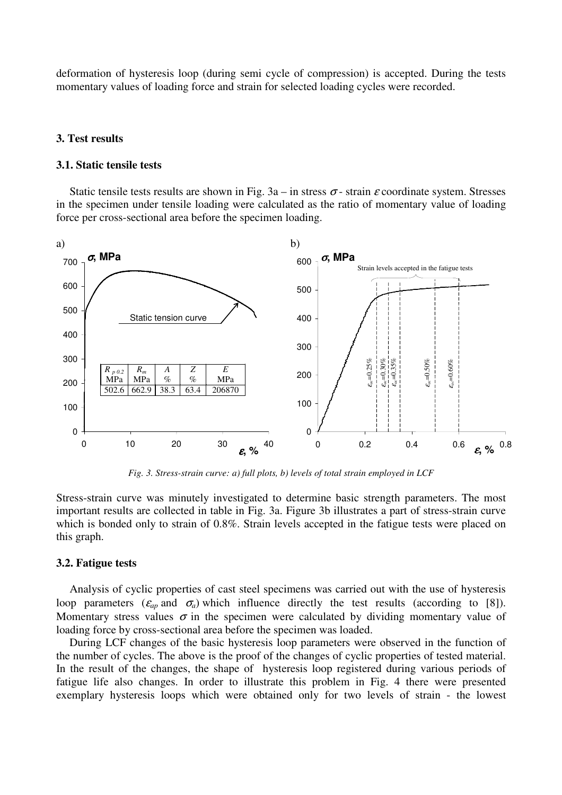deformation of hysteresis loop (during semi cycle of compression) is accepted. During the tests momentary values of loading force and strain for selected loading cycles were recorded.

### **3. Test results**

#### **3.1. Static tensile tests**

Static tensile tests results are shown in Fig.  $3a - in$  stress  $\sigma$ -strain  $\varepsilon$  coordinate system. Stresses in the specimen under tensile loading were calculated as the ratio of momentary value of loading force per cross-sectional area before the specimen loading.



*Fig. 3. Stress-strain curve: a) full plots, b) levels of total strain employed in LCF*

Stress-strain curve was minutely investigated to determine basic strength parameters. The most important results are collected in table in Fig. 3a. Figure 3b illustrates a part of stress-strain curve which is bonded only to strain of 0.8%. Strain levels accepted in the fatigue tests were placed on this graph.

### **3.2. Fatigue tests**

 Analysis of cyclic properties of cast steel specimens was carried out with the use of hysteresis loop parameters ( $\varepsilon_{ap}$  and  $\sigma_a$ ) which influence directly the test results (according to [8]). Momentary stress values  $\sigma$  in the specimen were calculated by dividing momentary value of loading force by cross-sectional area before the specimen was loaded.

During LCF changes of the basic hysteresis loop parameters were observed in the function of the number of cycles. The above is the proof of the changes of cyclic properties of tested material. In the result of the changes, the shape of hysteresis loop registered during various periods of fatigue life also changes. In order to illustrate this problem in Fig. 4 there were presented exemplary hysteresis loops which were obtained only for two levels of strain - the lowest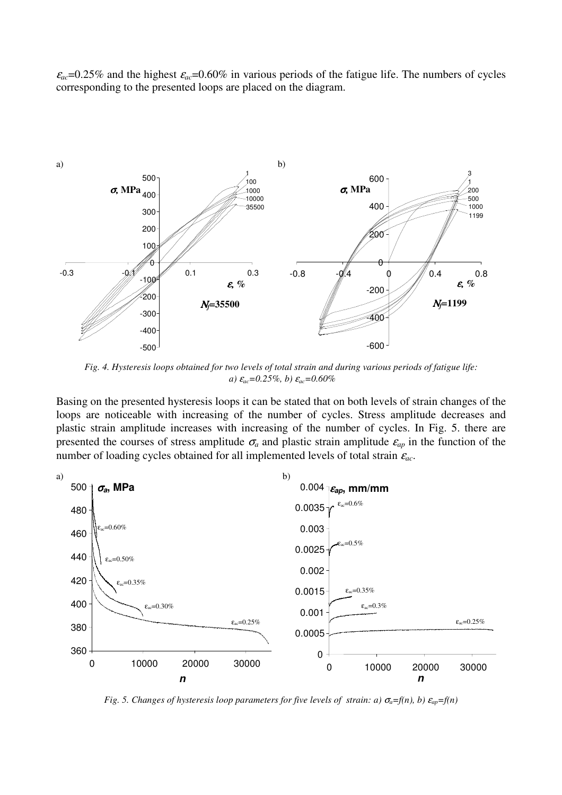$\varepsilon_{ac}$ =0.25% and the highest  $\varepsilon_{ac}$ =0.60% in various periods of the fatigue life. The numbers of cycles corresponding to the presented loops are placed on the diagram.



*Fig. 4. Hysteresis loops obtained for two levels of total strain and during various periods of fatigue life: a)* <sup>ε</sup>*ac=0.25%, b)* <sup>ε</sup>*ac=0.60%* 

Basing on the presented hysteresis loops it can be stated that on both levels of strain changes of the loops are noticeable with increasing of the number of cycles. Stress amplitude decreases and plastic strain amplitude increases with increasing of the number of cycles. In Fig. 5. there are presented the courses of stress amplitude  $\sigma_a$  and plastic strain amplitude  $\varepsilon_{ap}$  in the function of the number of loading cycles obtained for all implemented levels of total strain <sup>ε</sup>*ac*.



*Fig. 5. Changes of hysteresis loop parameters for five levels of strain: a)*  $\sigma_a = f(n)$ , b)  $\varepsilon_{ap} = f(n)$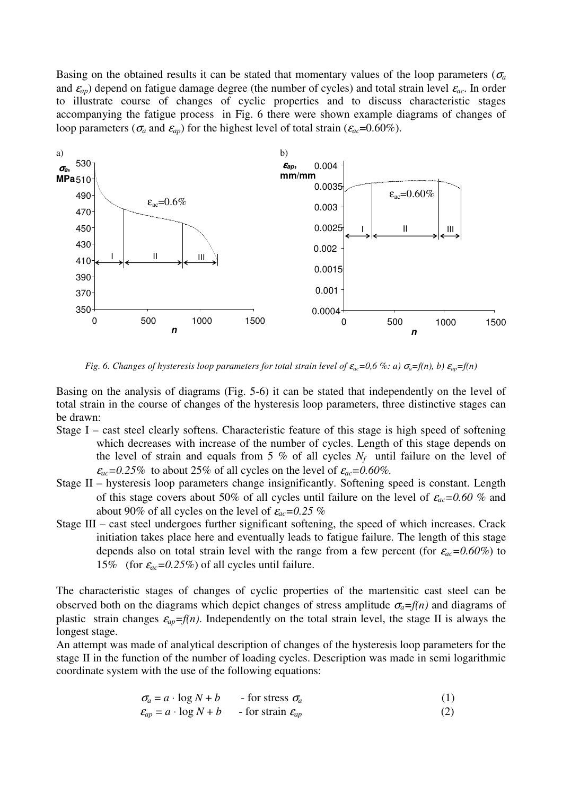Basing on the obtained results it can be stated that momentary values of the loop parameters ( $\sigma_a$ and  $\epsilon_{ap}$ ) depend on fatigue damage degree (the number of cycles) and total strain level  $\epsilon_{ac}$ . In order to illustrate course of changes of cyclic properties and to discuss characteristic stages accompanying the fatigue process in Fig. 6 there were shown example diagrams of changes of loop parameters ( $\sigma_a$  and  $\varepsilon_{ap}$ ) for the highest level of total strain ( $\varepsilon_{ac}$ =0.60%).



*Fig.* 6. Changes of hysteresis loop parameters for total strain level of  $\varepsilon_{ac}$ =0,6 %: a)  $\sigma_a$ =f(n), b)  $\varepsilon_{ap}$ =f(n)

Basing on the analysis of diagrams (Fig. 5-6) it can be stated that independently on the level of total strain in the course of changes of the hysteresis loop parameters, three distinctive stages can be drawn:

- Stage I cast steel clearly softens. Characteristic feature of this stage is high speed of softening which decreases with increase of the number of cycles. Length of this stage depends on the level of strain and equals from 5 % of all cycles  $N_f$  until failure on the level of  $\varepsilon_{ac}$ =0.25% to about 25% of all cycles on the level of  $\varepsilon_{ac}$ =0.60%.
- Stage II hysteresis loop parameters change insignificantly. Softening speed is constant. Length of this stage covers about 50% of all cycles until failure on the level of <sup>ε</sup>*ac=0.60 %* and about 90% of all cycles on the level of <sup>ε</sup>*ac=0.25 %*
- Stage III cast steel undergoes further significant softening, the speed of which increases. Crack initiation takes place here and eventually leads to fatigue failure. The length of this stage depends also on total strain level with the range from a few percent (for  $\varepsilon_{ac} = 0.60\%$ ) to 15% (for  $\varepsilon_{ac} = 0.25\%$ ) of all cycles until failure.

The characteristic stages of changes of cyclic properties of the martensitic cast steel can be observed both on the diagrams which depict changes of stress amplitude  $\sigma_a = f(n)$  and diagrams of plastic strain changes  $\varepsilon_{ap} = f(n)$ . Independently on the total strain level, the stage II is always the longest stage.

An attempt was made of analytical description of changes of the hysteresis loop parameters for the stage II in the function of the number of loading cycles. Description was made in semi logarithmic coordinate system with the use of the following equations:

 $\sigma_a = a \cdot \log N + b$  - for stress  $\sigma_a$  (1)

$$
\varepsilon_{ap} = a \cdot \log N + b \qquad \text{- for strain } \varepsilon_{ap} \tag{2}
$$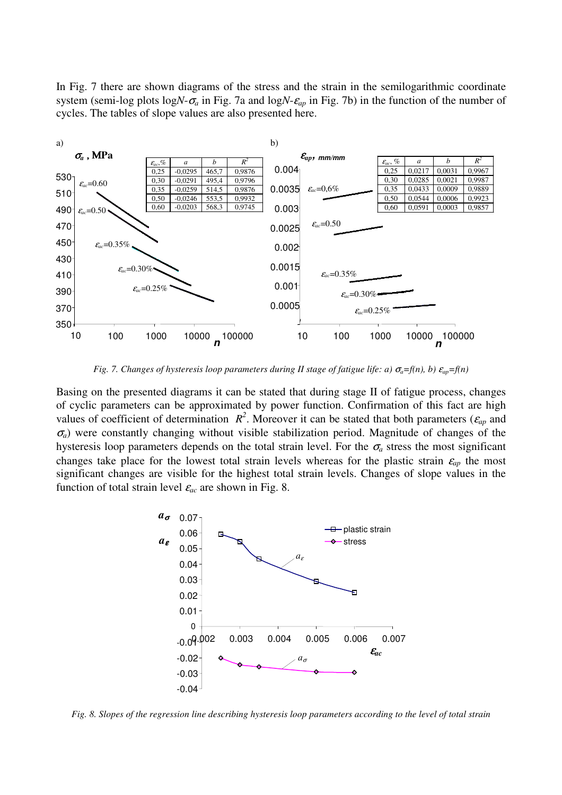In Fig. 7 there are shown diagrams of the stress and the strain in the semilogarithmic coordinate system (semi-log plots log $N-\sigma_a$  in Fig. 7a and log $N-\varepsilon_a$  in Fig. 7b) in the function of the number of cycles. The tables of slope values are also presented here.



*Fig. 7. Changes of hysteresis loop parameters during II stage of fatigue life: a)*  $\sigma_a = f(n)$ , *b)*  $\varepsilon_{av} = f(n)$ 

Basing on the presented diagrams it can be stated that during stage II of fatigue process, changes of cyclic parameters can be approximated by power function. Confirmation of this fact are high values of coefficient of determination  $R^2$ . Moreover it can be stated that both parameters ( $\varepsilon_{ap}$  and  $\sigma_a$ ) were constantly changing without visible stabilization period. Magnitude of changes of the hysteresis loop parameters depends on the total strain level. For the  $\sigma_a$  stress the most significant changes take place for the lowest total strain levels whereas for the plastic strain  $\varepsilon_{ap}$  the most significant changes are visible for the highest total strain levels. Changes of slope values in the function of total strain level  $\varepsilon_{ac}$  are shown in Fig. 8.



*Fig. 8. Slopes of the regression line describing hysteresis loop parameters according to the level of total strain*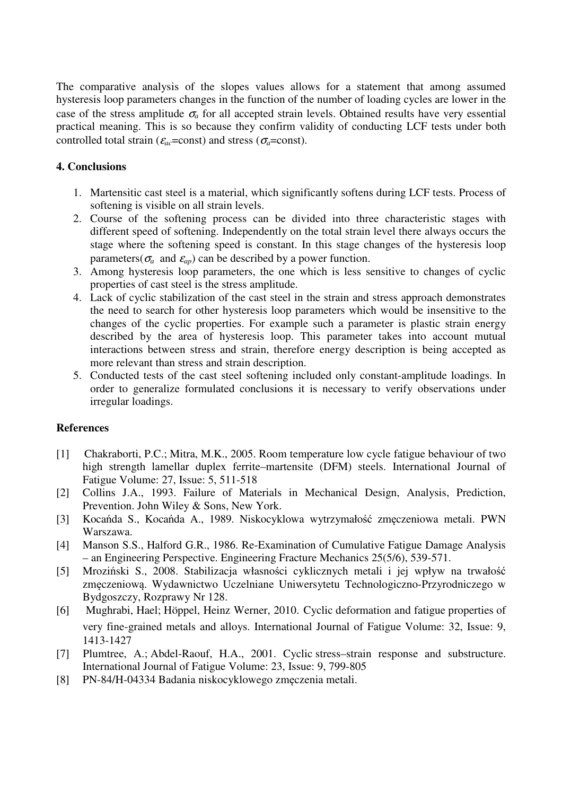The comparative analysis of the slopes values allows for a statement that among assumed hysteresis loop parameters changes in the function of the number of loading cycles are lower in the case of the stress amplitude  $\sigma_a$  for all accepted strain levels. Obtained results have very essential practical meaning. This is so because they confirm validity of conducting LCF tests under both controlled total strain ( $\varepsilon_{ac}$ =const) and stress ( $\sigma_{a}$ =const).

# **4. Conclusions**

- 1. Martensitic cast steel is a material, which significantly softens during LCF tests. Process of softening is visible on all strain levels.
- 2. Course of the softening process can be divided into three characteristic stages with different speed of softening. Independently on the total strain level there always occurs the stage where the softening speed is constant. In this stage changes of the hysteresis loop parameters( $\sigma_a$  and  $\varepsilon_{ap}$ ) can be described by a power function.
- 3. Among hysteresis loop parameters, the one which is less sensitive to changes of cyclic properties of cast steel is the stress amplitude.
- 4. Lack of cyclic stabilization of the cast steel in the strain and stress approach demonstrates the need to search for other hysteresis loop parameters which would be insensitive to the changes of the cyclic properties. For example such a parameter is plastic strain energy described by the area of hysteresis loop. This parameter takes into account mutual interactions between stress and strain, therefore energy description is being accepted as more relevant than stress and strain description.
- 5. Conducted tests of the cast steel softening included only constant-amplitude loadings. In order to generalize formulated conclusions it is necessary to verify observations under irregular loadings.

# **References**

- [1] Chakraborti, P.C.; Mitra, M.K., 2005. Room temperature low cycle fatigue behaviour of two high strength lamellar duplex ferrite–martensite (DFM) steels. International Journal of Fatigue Volume: 27, Issue: 5, 511-518
- [2] Collins J.A., 1993. Failure of Materials in Mechanical Design, Analysis, Prediction, Prevention. John Wiley & Sons, New York.
- [3] Kocańda S., Kocańda A., 1989. Niskocyklowa wytrzymałość zmęczeniowa metali. PWN Warszawa.
- [4] Manson S.S., Halford G.R., 1986. Re-Examination of Cumulative Fatigue Damage Analysis – an Engineering Perspective. Engineering Fracture Mechanics 25(5/6), 539-571.
- [5] Mroziński S., 2008. Stabilizacja własności cyklicznych metali i jej wpływ na trwałość zmęczeniową. Wydawnictwo Uczelniane Uniwersytetu Technologiczno-Przyrodniczego w Bydgoszczy, Rozprawy Nr 128.
- [6] Mughrabi, Hael; Höppel, Heinz Werner, 2010. Cyclic deformation and fatigue properties of very fine-grained metals and alloys. International Journal of Fatigue Volume: 32, Issue: 9, 1413-1427
- [7] Plumtree, A.; Abdel-Raouf, H.A., 2001. Cyclic stress–strain response and substructure. International Journal of Fatigue Volume: 23, Issue: 9, 799-805
- [8] PN-84/H-04334 Badania niskocyklowego zmęczenia metali.